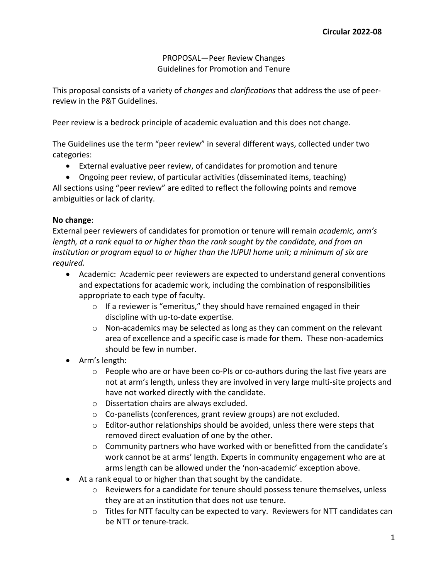PROPOSAL—Peer Review Changes Guidelines for Promotion and Tenure

This proposal consists of a variety of *changes* and *clarifications* that address the use of peerreview in the P&T Guidelines.

Peer review is a bedrock principle of academic evaluation and this does not change.

The Guidelines use the term "peer review" in several different ways, collected under two categories:

- External evaluative peer review, of candidates for promotion and tenure
- Ongoing peer review, of particular activities (disseminated items, teaching)

All sections using "peer review" are edited to reflect the following points and remove ambiguities or lack of clarity.

# **No change**:

External peer reviewers of candidates for promotion or tenure will remain *academic, arm's length, at a rank equal to or higher than the rank sought by the candidate, and from an institution or program equal to or higher than the IUPUI home unit; a minimum of six are required.*

- Academic: Academic peer reviewers are expected to understand general conventions and expectations for academic work, including the combination of responsibilities appropriate to each type of faculty.
	- $\circ$  If a reviewer is "emeritus," they should have remained engaged in their discipline with up-to-date expertise.
	- $\circ$  Non-academics may be selected as long as they can comment on the relevant area of excellence and a specific case is made for them. These non-academics should be few in number.
- Arm's length:
	- $\circ$  People who are or have been co-PIs or co-authors during the last five years are not at arm's length, unless they are involved in very large multi-site projects and have not worked directly with the candidate.
	- o Dissertation chairs are always excluded.
	- o Co-panelists (conferences, grant review groups) are not excluded.
	- $\circ$  Editor-author relationships should be avoided, unless there were steps that removed direct evaluation of one by the other.
	- $\circ$  Community partners who have worked with or benefitted from the candidate's work cannot be at arms' length. Experts in community engagement who are at arms length can be allowed under the 'non-academic' exception above.
- At a rank equal to or higher than that sought by the candidate.
	- $\circ$  Reviewers for a candidate for tenure should possess tenure themselves, unless they are at an institution that does not use tenure.
	- o Titles for NTT faculty can be expected to vary. Reviewers for NTT candidates can be NTT or tenure-track.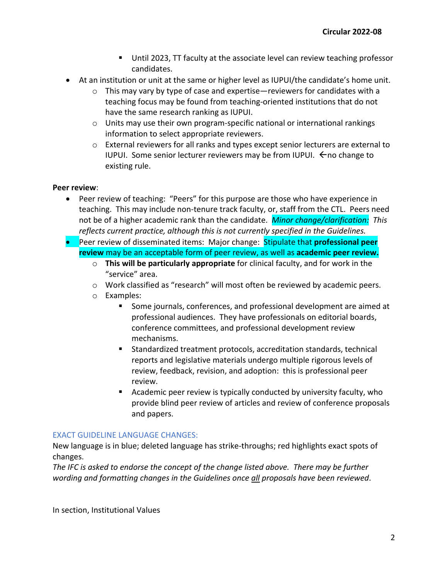- Until 2023, TT faculty at the associate level can review teaching professor candidates.
- At an institution or unit at the same or higher level as IUPUI/the candidate's home unit.
	- $\circ$  This may vary by type of case and expertise—reviewers for candidates with a teaching focus may be found from teaching-oriented institutions that do not have the same research ranking as IUPUI.
	- $\circ$  Units may use their own program-specific national or international rankings information to select appropriate reviewers.
	- $\circ$  External reviewers for all ranks and types except senior lecturers are external to IUPUI. Some senior lecturer reviewers may be from IUPUI.  $\leftarrow$  no change to existing rule.

# **Peer review**:

- Peer review of teaching: "Peers" for this purpose are those who have experience in teaching. This may include non-tenure track faculty, or, staff from the CTL. Peers need not be of a higher academic rank than the candidate. *Minor change/clarification: This reflects current practice, although this is not currently specified in the Guidelines.*
- Peer review of disseminated items: Major change: Stipulate that **professional peer review** may be an acceptable form of peer review, as well as **academic peer review.**
	- o **This will be particularly appropriate** for clinical faculty, and for work in the "service" area.
	- o Work classified as "research" will most often be reviewed by academic peers.
	- o Examples:
		- Some journals, conferences, and professional development are aimed at professional audiences. They have professionals on editorial boards, conference committees, and professional development review mechanisms.
		- Standardized treatment protocols, accreditation standards, technical reports and legislative materials undergo multiple rigorous levels of review, feedback, revision, and adoption: this is professional peer review.
		- Academic peer review is typically conducted by university faculty, who provide blind peer review of articles and review of conference proposals and papers.

# EXACT GUIDELINE LANGUAGE CHANGES:

New language is in blue; deleted language has strike-throughs; red highlights exact spots of changes.

*The IFC is asked to endorse the concept of the change listed above. There may be further wording and formatting changes in the Guidelines once all proposals have been reviewed*.

In section, Institutional Values